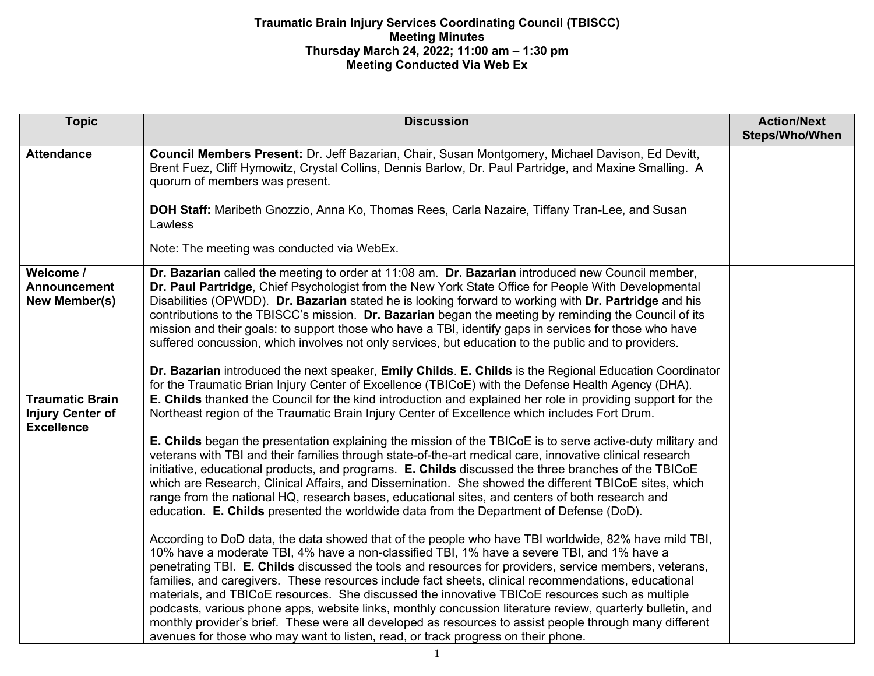## **Traumatic Brain Injury Services Coordinating Council (TBISCC) Meeting Minutes Thursday March 24, 2022; 11:00 am – 1:30 pm Meeting Conducted Via Web Ex**

| <b>Topic</b>                                                           | <b>Discussion</b>                                                                                                                                                                                                                                                                                                                                                                                                                                                                                                                                                                                                                                                                                                                                                                                                                     | <b>Action/Next</b><br>Steps/Who/When |
|------------------------------------------------------------------------|---------------------------------------------------------------------------------------------------------------------------------------------------------------------------------------------------------------------------------------------------------------------------------------------------------------------------------------------------------------------------------------------------------------------------------------------------------------------------------------------------------------------------------------------------------------------------------------------------------------------------------------------------------------------------------------------------------------------------------------------------------------------------------------------------------------------------------------|--------------------------------------|
| <b>Attendance</b>                                                      | Council Members Present: Dr. Jeff Bazarian, Chair, Susan Montgomery, Michael Davison, Ed Devitt,<br>Brent Fuez, Cliff Hymowitz, Crystal Collins, Dennis Barlow, Dr. Paul Partridge, and Maxine Smalling. A<br>quorum of members was present.                                                                                                                                                                                                                                                                                                                                                                                                                                                                                                                                                                                          |                                      |
|                                                                        | DOH Staff: Maribeth Gnozzio, Anna Ko, Thomas Rees, Carla Nazaire, Tiffany Tran-Lee, and Susan<br>Lawless                                                                                                                                                                                                                                                                                                                                                                                                                                                                                                                                                                                                                                                                                                                              |                                      |
|                                                                        | Note: The meeting was conducted via WebEx.                                                                                                                                                                                                                                                                                                                                                                                                                                                                                                                                                                                                                                                                                                                                                                                            |                                      |
| Welcome /<br><b>Announcement</b><br>New Member(s)                      | Dr. Bazarian called the meeting to order at 11:08 am. Dr. Bazarian introduced new Council member,<br>Dr. Paul Partridge, Chief Psychologist from the New York State Office for People With Developmental<br>Disabilities (OPWDD). Dr. Bazarian stated he is looking forward to working with Dr. Partridge and his<br>contributions to the TBISCC's mission. Dr. Bazarian began the meeting by reminding the Council of its<br>mission and their goals: to support those who have a TBI, identify gaps in services for those who have<br>suffered concussion, which involves not only services, but education to the public and to providers.                                                                                                                                                                                          |                                      |
|                                                                        | Dr. Bazarian introduced the next speaker, Emily Childs. E. Childs is the Regional Education Coordinator<br>for the Traumatic Brian Injury Center of Excellence (TBICoE) with the Defense Health Agency (DHA).                                                                                                                                                                                                                                                                                                                                                                                                                                                                                                                                                                                                                         |                                      |
| <b>Traumatic Brain</b><br><b>Injury Center of</b><br><b>Excellence</b> | E. Childs thanked the Council for the kind introduction and explained her role in providing support for the<br>Northeast region of the Traumatic Brain Injury Center of Excellence which includes Fort Drum.                                                                                                                                                                                                                                                                                                                                                                                                                                                                                                                                                                                                                          |                                      |
|                                                                        | <b>E. Childs</b> began the presentation explaining the mission of the TBICoE is to serve active-duty military and<br>veterans with TBI and their families through state-of-the-art medical care, innovative clinical research<br>initiative, educational products, and programs. E. Childs discussed the three branches of the TBICoE<br>which are Research, Clinical Affairs, and Dissemination. She showed the different TBICoE sites, which<br>range from the national HQ, research bases, educational sites, and centers of both research and<br>education. E. Childs presented the worldwide data from the Department of Defense (DoD).                                                                                                                                                                                          |                                      |
|                                                                        | According to DoD data, the data showed that of the people who have TBI worldwide, 82% have mild TBI,<br>10% have a moderate TBI, 4% have a non-classified TBI, 1% have a severe TBI, and 1% have a<br>penetrating TBI. E. Childs discussed the tools and resources for providers, service members, veterans,<br>families, and caregivers. These resources include fact sheets, clinical recommendations, educational<br>materials, and TBICoE resources. She discussed the innovative TBICoE resources such as multiple<br>podcasts, various phone apps, website links, monthly concussion literature review, quarterly bulletin, and<br>monthly provider's brief. These were all developed as resources to assist people through many different<br>avenues for those who may want to listen, read, or track progress on their phone. |                                      |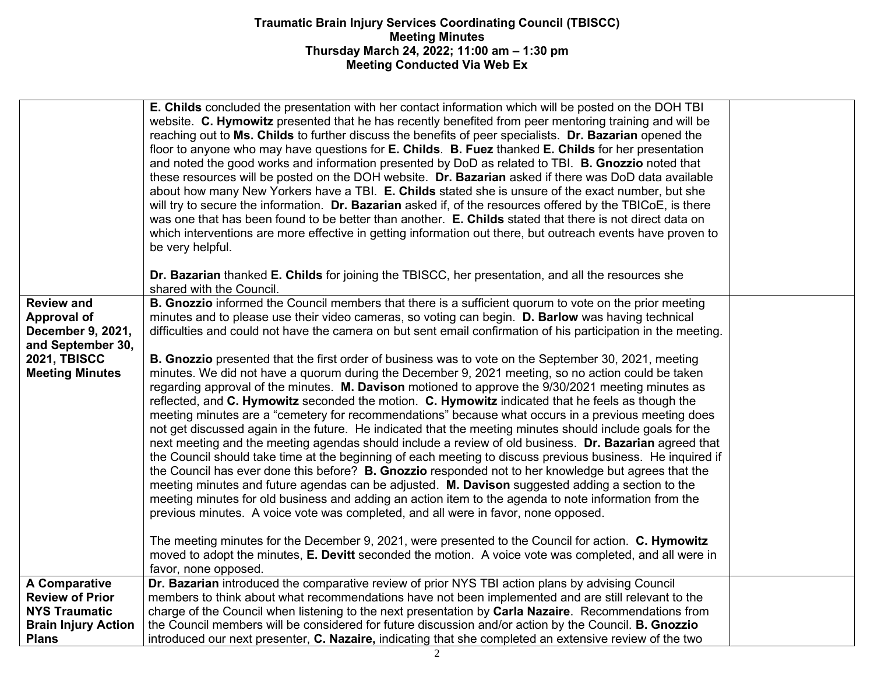## **Traumatic Brain Injury Services Coordinating Council (TBISCC) Meeting Minutes Thursday March 24, 2022; 11:00 am – 1:30 pm Meeting Conducted Via Web Ex**

|                                                                                                                                    | <b>E. Childs</b> concluded the presentation with her contact information which will be posted on the DOH TBI<br>website. C. Hymowitz presented that he has recently benefited from peer mentoring training and will be<br>reaching out to Ms. Childs to further discuss the benefits of peer specialists. Dr. Bazarian opened the<br>floor to anyone who may have questions for <b>E. Childs. B. Fuez</b> thanked <b>E. Childs</b> for her presentation<br>and noted the good works and information presented by DoD as related to TBI. <b>B. Gnozzio</b> noted that<br>these resources will be posted on the DOH website. Dr. Bazarian asked if there was DoD data available<br>about how many New Yorkers have a TBI. E. Childs stated she is unsure of the exact number, but she<br>will try to secure the information. Dr. Bazarian asked if, of the resources offered by the TBICoE, is there<br>was one that has been found to be better than another. E. Childs stated that there is not direct data on<br>which interventions are more effective in getting information out there, but outreach events have proven to<br>be very helpful.                                                                                                                                                                                                                                                                                                                                                                                                                                                                                                                                                                            |  |
|------------------------------------------------------------------------------------------------------------------------------------|------------------------------------------------------------------------------------------------------------------------------------------------------------------------------------------------------------------------------------------------------------------------------------------------------------------------------------------------------------------------------------------------------------------------------------------------------------------------------------------------------------------------------------------------------------------------------------------------------------------------------------------------------------------------------------------------------------------------------------------------------------------------------------------------------------------------------------------------------------------------------------------------------------------------------------------------------------------------------------------------------------------------------------------------------------------------------------------------------------------------------------------------------------------------------------------------------------------------------------------------------------------------------------------------------------------------------------------------------------------------------------------------------------------------------------------------------------------------------------------------------------------------------------------------------------------------------------------------------------------------------------------------------------------------------------------------------------------------------|--|
|                                                                                                                                    | Dr. Bazarian thanked E. Childs for joining the TBISCC, her presentation, and all the resources she<br>shared with the Council.                                                                                                                                                                                                                                                                                                                                                                                                                                                                                                                                                                                                                                                                                                                                                                                                                                                                                                                                                                                                                                                                                                                                                                                                                                                                                                                                                                                                                                                                                                                                                                                               |  |
| <b>Review and</b><br><b>Approval of</b><br>December 9, 2021,<br>and September 30,<br><b>2021, TBISCC</b><br><b>Meeting Minutes</b> | B. Gnozzio informed the Council members that there is a sufficient quorum to vote on the prior meeting<br>minutes and to please use their video cameras, so voting can begin. D. Barlow was having technical<br>difficulties and could not have the camera on but sent email confirmation of his participation in the meeting.<br><b>B. Gnozzio</b> presented that the first order of business was to vote on the September 30, 2021, meeting<br>minutes. We did not have a quorum during the December 9, 2021 meeting, so no action could be taken<br>regarding approval of the minutes. M. Davison motioned to approve the 9/30/2021 meeting minutes as<br>reflected, and C. Hymowitz seconded the motion. C. Hymowitz indicated that he feels as though the<br>meeting minutes are a "cemetery for recommendations" because what occurs in a previous meeting does<br>not get discussed again in the future. He indicated that the meeting minutes should include goals for the<br>next meeting and the meeting agendas should include a review of old business. Dr. Bazarian agreed that<br>the Council should take time at the beginning of each meeting to discuss previous business. He inquired if<br>the Council has ever done this before? B. Gnozzio responded not to her knowledge but agrees that the<br>meeting minutes and future agendas can be adjusted. M. Davison suggested adding a section to the<br>meeting minutes for old business and adding an action item to the agenda to note information from the<br>previous minutes. A voice vote was completed, and all were in favor, none opposed.<br>The meeting minutes for the December 9, 2021, were presented to the Council for action. C. Hymowitz |  |
|                                                                                                                                    | moved to adopt the minutes, E. Devitt seconded the motion. A voice vote was completed, and all were in<br>favor, none opposed.                                                                                                                                                                                                                                                                                                                                                                                                                                                                                                                                                                                                                                                                                                                                                                                                                                                                                                                                                                                                                                                                                                                                                                                                                                                                                                                                                                                                                                                                                                                                                                                               |  |
| A Comparative<br><b>Review of Prior</b><br><b>NYS Traumatic</b><br><b>Brain Injury Action</b><br><b>Plans</b>                      | Dr. Bazarian introduced the comparative review of prior NYS TBI action plans by advising Council<br>members to think about what recommendations have not been implemented and are still relevant to the<br>charge of the Council when listening to the next presentation by Carla Nazaire. Recommendations from<br>the Council members will be considered for future discussion and/or action by the Council. B. Gnozzio<br>introduced our next presenter, C. Nazaire, indicating that she completed an extensive review of the two                                                                                                                                                                                                                                                                                                                                                                                                                                                                                                                                                                                                                                                                                                                                                                                                                                                                                                                                                                                                                                                                                                                                                                                          |  |